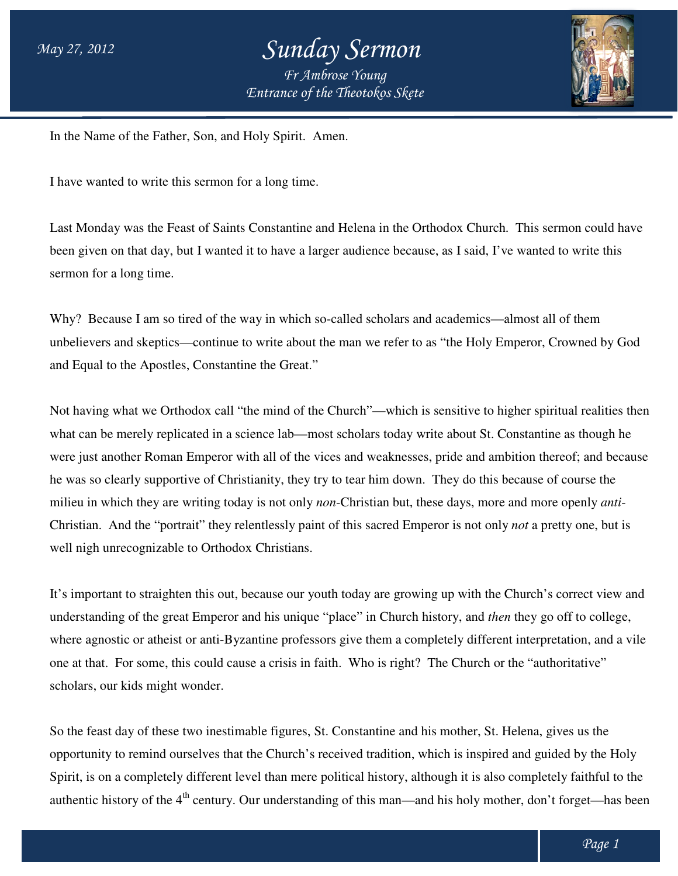

In the Name of the Father, Son, and Holy Spirit. Amen.

I have wanted to write this sermon for a long time.

Last Monday was the Feast of Saints Constantine and Helena in the Orthodox Church. This sermon could have Last Monday was the Feast of Saints Constantine and Helena in the Orthodox Church. This sermon could h<br>been given on that day, but I wanted it to have a larger audience because, as I said, I've wanted to write this sermon for a long time.

Why? Because I am so tired of the way in which so-called scholars and academics—almost all of them unbelievers and skeptics—continue to write about the man we refer to as "the Holy Emperor, Crowned by God and Equal to the Apostles, Constantine the Great."

Not having what we Orthodox call "the mind of the Church"—which is sensitive to higher spiritual realities then what can be merely replicated in a science lab—most scholars today write about St. Constantine as though he were just another Roman Emperor with all of the vices and weaknesses, pride and ambition thereof; and because he was so clearly supportive of Christianity, they try to tear him down. They do this because of course the milieu in which they are writing today is not only *non*-Christian but, these days, more and more openly Christian. And the "portrait" they relentlessly paint of this sacred Emperor is not only *not* a pretty one, but is well nigh unrecognizable to Orthodox Christians. a larger audience because, as I said, I've wanted to write this<br>ch so-called scholars and academics—almost all of them<br>out the man we refer to as "the Holy Emperor, Crowned by G<br>at."<br>f the Church"—which is sensitive to hig

It's important to straighten this out, because our youth today are growing up with the Church's correct view and understanding of the great Emperor and his unique "place" in Church history, and then they go off to college, where agnostic or atheist or anti-Byzantine professors give them a completely different interpretation, and a vile one at that. For some, this could cause a crisis in faith. Who is right? The Church or the "authoritative" scholars, our kids might wonder. is to f this sacred Emperor is not only *not* a pretty one,<br>uth today are growing up with the Church's correct<br>"place" in Church history, and *then* they go off to co

So the feast day of these two inestimable figures, St. Constantine and his mother, St. Helena, gives us the opportunity to remind ourselves that the Church's received tradition, which is inspired and guided by the Holy Spirit, is on a completely different level than mere political history, although it is also completely faithful to the So the feast day of these two inestimable figures, St. Constantine and his mother, St. Helena, gives us the opportunity to remind ourselves that the Church's received tradition, which is inspired and guided by the Holy Sp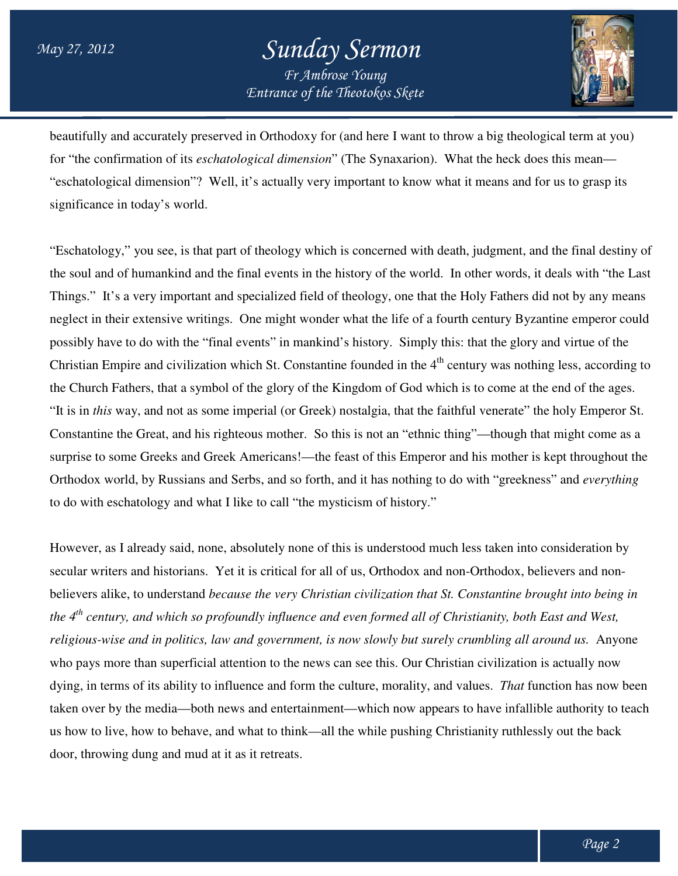

beautifully and accurately preserved in Orthodoxy for (and here I want to throw a big theological term at you) beautifully and accurately preserved in Orthodoxy for (and here I want to throw a big theological term at y<br>for "the confirmation of its *eschatological dimension*" (The Synaxarion). What the heck does this mean— "eschatological dimension"? Well, it's actually very important to know what it means and for us to grasp its significance in today's world.

"Eschatology," you see, is that part of theology which is concerned with death, judgment, and the final destiny of the soul and of humankind and the final events in the history of the world. Things." It's a very important and specialized field of theology, one that the Holy Fathers did not by any means Things." It's a very important and specialized field of theology, one that the Holy Fathers did not by any means<br>neglect in their extensive writings. One might wonder what the life of a fourth century Byzantine emperor cou possibly have to do with the "final events" in mankind's history. Simply this: that the glory and virtue of the Christian Empire and civilization which St. Constantine founded in the 4<sup>th</sup> century was nothing less, according to the Church Fathers, that a symbol of the glory of the Kingdom of God which is to come at the end of the ag the Church Fathers, that a symbol of the glory of the Kingdom of God which is to come at the end of the ages. the Church Fathers, that a symbol of the glory of the Kingdom of God which is to come at the end of the ages.<br>"It is in *this* way, and not as some imperial (or Greek) nostalgia, that the faithful venerate" the holy Empero Constantine the Great, and his righteous mother. So this is not an "ethnic thing"—though that might come as a Constantine the Great, and his righteous mother. So this is not an "ethnic thing"—though that might come as a<br>surprise to some Greeks and Greek Americans!—the feast of this Emperor and his mother is kept throughout the Orthodox world, by Russians and Serbs, and so forth, and it has nothing to do with "greekness" and everything to do with eschatology and what I like to call "the mysticism of history." it's actually very important to know what it means and for us to grasp its<br>of theology which is concerned with death, judgment, and the final destiny of<br>inal events in the history of the world. In other words, it deals wit

However, as I already said, none, absolutely none of this is understood much less taken into consideration by secular writers and historians. Yet it is critical for all of us, Orthodox and non-Orthodox, believers and nonbelievers alike, to understand *because the very Christian civilization that St. Constantine brought into being in the 4th century, and which so profoundly influence and even formed all of Christianity, both East and West,*  religious-wise and in politics, law and government, is now slowly but surely crumbling all around us. Anyone who pays more than superficial attention to the news can see this. Our Christian civilization is actually now who pays more than superficial attention to the news can see this. Our Christian civilization is actually now<br>dying, in terms of its ability to influence and form the culture, morality, and values. *That* function has now taken over by the media—both news and entertainment—which now appears to have infallible authority to teach us how to live, how to behave, and what to think—all the while pushing Christianity ruthlessly out the back door, throwing dung and mud at it as it retreats. alike, to understand *because the very Christian civilization that St. Constantine brought into*<br>itury, and which so profoundly influence and even formed all of Christianity, both East and V<br>wise and in politics, law and g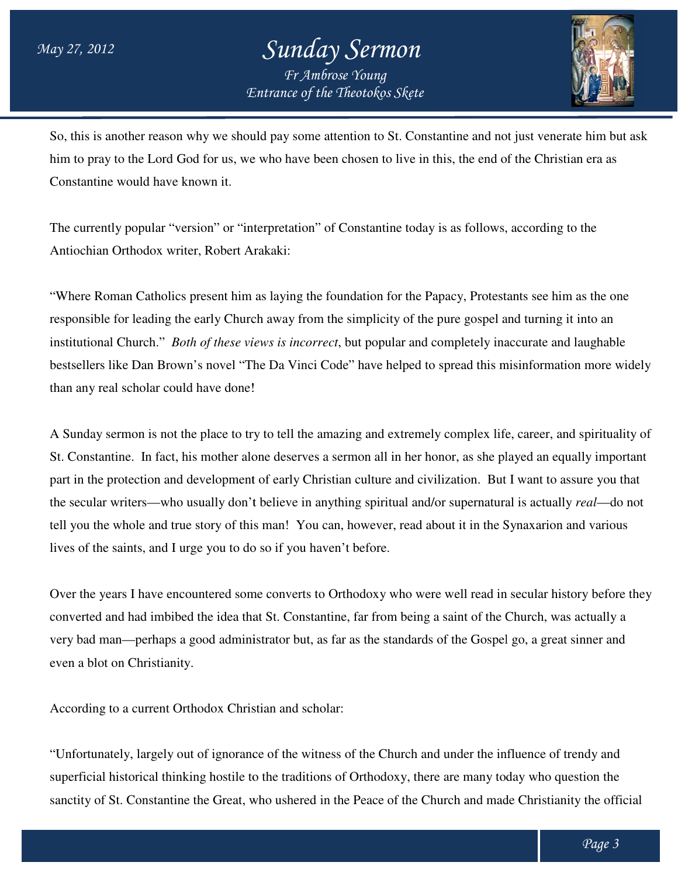

So, this is another reason why we should pay some attention to St. Constantine and not just venerate him but ask him to pray to the Lord God for us, we who have been chosen to live in this, the end of the Christian era as Constantine would have known it. him to pray to the Lord God for us, we who have been chosen to live in this, the end of the Christian era<br>Constantine would have known it.<br>The currently popular "version" or "interpretation" of Constantine today is as foll

Antiochian Orthodox writer, Robert Arakaki:

"Where Roman Catholics present him as laying the foundation for the Papacy, Protestants see him as the one "Where Roman Catholics present him as laying the foundation for the Papacy, Protestants see him as the o<br>responsible for leading the early Church away from the simplicity of the pure gospel and turning it into an institutional Church." *Both of these views is incorrect* , but popular and completely inaccurate and laughable bestsellers like Dan Brown's novel "The Da Vinci Code" have helped to spread this misinformation more wi than any real scholar could have done! onstantine and not just venerate him but ask<br>in this, the end of the Christian era as<br>day is as follows, according to the<br>e Papacy, Protestants see him as the one<br>the pure gospel and turning it into an<br>nd completely inaccu

A Sunday sermon is not the place to try to tell the amazing and extremely complex life, career, and spirituality of St. Constantine. In fact, his mother alone deserves a sermon all in her honor, as she played an equally important part in the protection and development of early Christian culture and civilization. But I want the secular writers—who usually don't believe in anything spiritual and/or supernatural is actually *real*—do not the secular writers—who usually don't believe in anything spiritual and/or supernatural is actually *real*—do r<br>tell you the whole and true story of this man! You can, however, read about it in the Synaxarion and various lives of the saints, and I urge you to do so if you haven't before. scholar could have done!<br>mon is not the place to try to tell the amazing and extremely complex life, career, and spirituality one.<br>In fact, his mother alone deserves a sermon all in her honor, as she played an equally impo read about it in the Synaxarion and various<br>ho were well read in secular history before they

Over the years I have encountered some converts to Orthodoxy who were well read in converted and had imbibed the idea that St. Constantine, far from being a saint of the Church, was actually a very bad man—perhaps a good administrator but, as far as the standards of the Gospel go, a great sinner and even a blot on Christianity. s, and I urge you to do so if you haven't before.<br>have encountered some converts to Orthodoxy who were well read in secular history before<br>id imbibed the idea that St. Constantine, far from being a saint of the Church, was

According to a current Orthodox Christian and scholar:

"Unfortunately, largely out of ignorance of the witness of the Church and under the influence of trendy and superficial historical thinking hostile to the traditions of Orthodoxy, there are many today who question the sanctity of St. Constantine the Great, who ushered in the Peace of the Church and made Christianity the official perhaps a good administrator but, as far as the standards of the Gospel go, a great sinner and<br>even a blot on Christianity.<br>According to a current Orthodox Christian and scholar:<br>"Unfortunately, largely out of ignorance of perhaps y, there who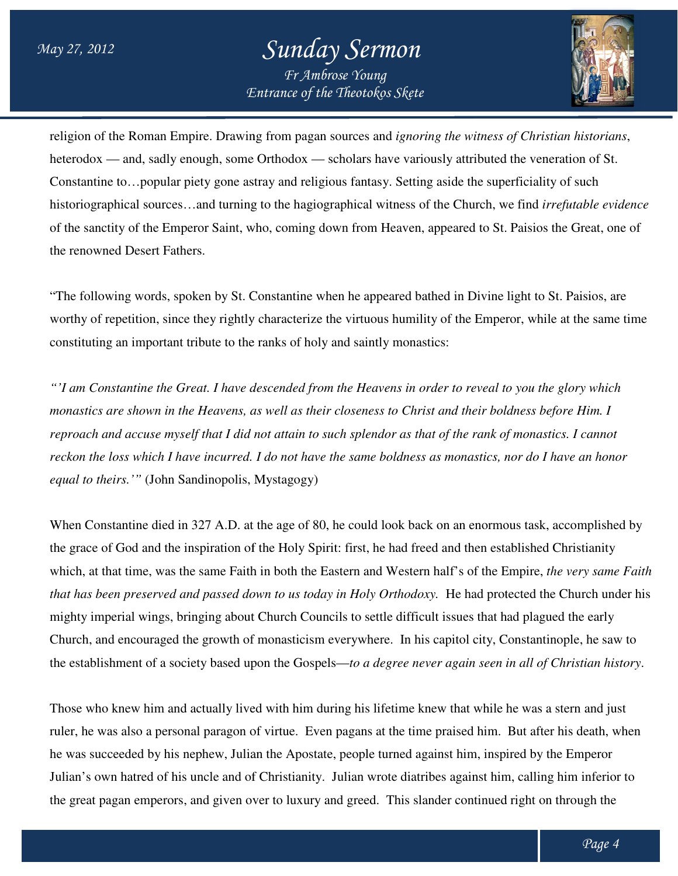

religion of the Roman Empire. Drawing from pagan sources and *ignoring the witness of Christian histori historians*, heterodox — and, sadly enough, some Orthodox — scholars have variously attributed the veneration of St. Constantine to…popular piety gone astray and religious fantasy. Setting aside the superficiality of such heterodox — and, sadly enough, some Orthodox — scholars have variously attributed the veneration of St.<br>Constantine to...popular piety gone astray and religious fantasy. Setting aside the superficiality of such<br>historiogra of the sanctity of the Emperor Saint, who, coming down from Heaven, appeared to St. Paisios the Great, one of the renowned Desert Fathers. of the sanctity of the Emperor Saint, who, coming down from Heaven, appeared to St. Paisios the Great, one<br>the renowned Desert Fathers.<br>"The following words, spoken by St. Constantine when he appeared bathed in Divine ligh

worthy of repetition, since they rightly characterize the virtuous humility of the Emperor, while at the same time constituting an important tribute to the ranks of holy and saintly monastics:

*"'I am Constantine the Great. I have descended from the Heavens in order to reveal to you the glory which monastics are shown in the Heavens, as well as their closeness to Christ and their boldness before Him. I*  reproach and accuse myself that I did not attain to such splendor as that of the rank of monastics. I cannot reckon the loss which I have incurred. I do not have the same boldness as monastics, nor do I have an honor *equal to theirs.'"* (John Sandinopolis, Mystagogy) *have descended from the Heavens in order to reveal to you the glory which<br>vens, as well as their closeness to Christ and their boldness before Him. I<br><sup>t</sup> I did not attain to such splendor as that of the rank of monastics.* 

When Constantine died in 327 A.D. at the age of 80, he could look back on an enormous task, accomplished by the grace of God and the inspiration of the Holy Spirit: first, he had freed and then established Christianity which, at that time, was the same Faith in both the Eastern and Western half's of the Empire, the very same Faith that has been preserved and passed down to us today in Holy Orthodoxy. He had protected the Church under his<br>mighty imperial wings, bringing about Church Councils to settle difficult issues that had plagued the early mighty imperial wings, bringing about Church Councils to settle difficult issues that had plagued the early mighty imperial wings, bringing about Church Councils to settle difficult issues that had plagued the early<br>Church, and encouraged the growth of monasticism everywhere. In his capitol city, Constantinople, he saw to the establishment of a society based upon the Gospels—to a degree never again seen in all of Christian history. Sandinopolis, Mystagogy)<br>in 327 A.D. at the age of 80, he could look back on an enormous task<br>e inspiration of the Holy Spirit: first, he had freed and then established<br>the same Faith in both the Eastern and Western half's

Those who knew him and actually lived with him during his lifetime knew that while he was a stern and just Those who knew him and actually lived with him during his lifetime knew that while he was a stern and just<br>ruler, he was also a personal paragon of virtue. Even pagans at the time praised him. But after his death, when he was succeeded by his nephew, Julian the Apostate, people turned against him, inspired by the Emperor Julian's own hatred of his uncle and of Christianity. Julian wrote diatribes against him, calling him inferior to the great pagan emperors, and given over to luxury and greed. This slander continued right on through the